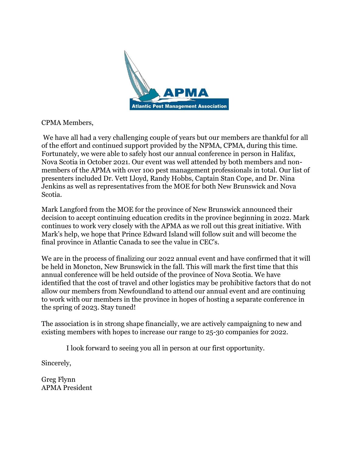

#### CPMA Members,

We have all had a very challenging couple of years but our members are thankful for all of the effort and continued support provided by the NPMA, CPMA, during this time. Fortunately, we were able to safely host our annual conference in person in Halifax, Nova Scotia in October 2021. Our event was well attended by both members and nonmembers of the APMA with over 100 pest management professionals in total. Our list of presenters included Dr. Vett Lloyd, Randy Hobbs, Captain Stan Cope, and Dr. Nina Jenkins as well as representatives from the MOE for both New Brunswick and Nova Scotia.

Mark Langford from the MOE for the province of New Brunswick announced their decision to accept continuing education credits in the province beginning in 2022. Mark continues to work very closely with the APMA as we roll out this great initiative. With Mark's help, we hope that Prince Edward Island will follow suit and will become the final province in Atlantic Canada to see the value in CEC's.

We are in the process of finalizing our 2022 annual event and have confirmed that it will be held in Moncton, New Brunswick in the fall. This will mark the first time that this annual conference will be held outside of the province of Nova Scotia. We have identified that the cost of travel and other logistics may be prohibitive factors that do not allow our members from Newfoundland to attend our annual event and are continuing to work with our members in the province in hopes of hosting a separate conference in the spring of 2023. Stay tuned!

The association is in strong shape financially, we are actively campaigning to new and existing members with hopes to increase our range to 25-30 companies for 2022.

I look forward to seeing you all in person at our first opportunity.

Sincerely,

Greg Flynn APMA President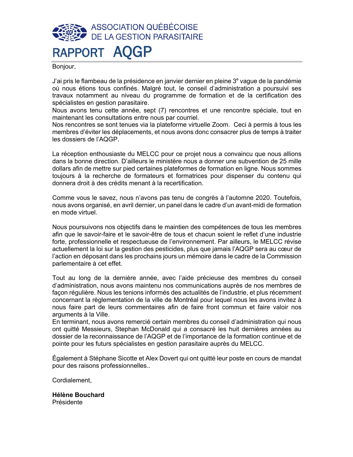## ASSOCIATION QUÉBÉCOISE **DE LA GESTION PARASITAIRE** RAPPORT AQGP

Bonjour,

J'ai pris le flambeau de la présidence en janvier dernier en pleine 3<sup>e</sup> vaque de la pandémie où nous étions tous confinés. Malgré tout, le conseil d'administration a poursuivi ses travaux notamment au niveau du programme de formation et de la certification des spécialistes en gestion parasitaire.

Nous avons tenu cette année, sept (7) rencontres et une rencontre spéciale, tout en maintenant les consultations entre nous par courriel.

Nos rencontres se sont tenues via la plateforme virtuelle Zoom. Ceci à permis à tous les membres d'éviter les déplacements, et nous avons donc consacrer plus de temps à traiter les dossiers de l'AQGP.

La réception enthousiaste du MELCC pour ce projet nous a convaincu que nous allions dans la bonne direction. D'ailleurs le ministère nous a donner une subvention de 25 mille dollars afin de mettre sur pied certaines plateformes de formation en ligne. Nous sommes toujours à la recherche de formateurs et formatrices pour dispenser du contenu qui donnera droit à des crédits menant à la recertification.

Comme vous le savez, nous n'avons pas tenu de congrès à l'automne 2020. Toutefois, nous avons organisé, en avril dernier, un panel dans le cadre d'un avant-midi de formation en mode virtuel.

Nous poursuivons nos objectifs dans le maintien des compétences de tous les membres afin que le savoir-faire et le savoir-être de tous et chacun soient le reflet d'une industrie forte, professionnelle et respectueuse de l'environnement. Par ailleurs, le MELCC révise actuellement la loi sur la gestion des pesticides, plus que jamais l'AQGP sera au cœur de l'action en déposant dans les prochains jours un mémoire dans le cadre de la Commission parlementaire à cet effet.

Tout au long de la dernière année, avec l'aide précieuse des membres du conseil d'administration, nous avons maintenu nos communications auprès de nos membres de façon régulière. Nous les tenions informés des actualités de l'industrie, et plus récemment concernant la règlementation de la ville de Montréal pour lequel nous les avons invitez à nous faire part de leurs commentaires afin de faire front commun et faire valoir nos arguments à la Ville.

En terminant, nous avons remercié certain membres du conseil d'administration qui nous ont quitté Messieurs, Stephan McDonald qui a consacré les huit dernières années au dossier de la reconnaissance de l'AQGP et de l'importance de la formation continue et de pointe pour les futurs spécialistes en gestion parasitaire auprès du MELCC.

Également à Stéphane Sicotte et Alex Dovert qui ont quitté leur poste en cours de mandat pour des raisons professionnelles..

Cordialement,

**Hélène Bouchard** Présidente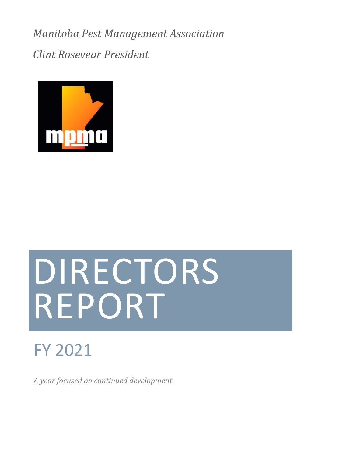*Manitoba Pest Management Association*

*Clint Rosevear President* 



# DIRECTORS REPORT

# FY 2021

*A year focused on continued development.*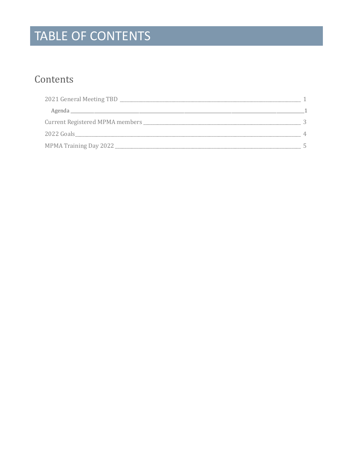# TABLE OF CONTENTS

# Contents

| 2021 General Meeting TBD                   |         |
|--------------------------------------------|---------|
|                                            |         |
| Current Registered MPMA members __________ |         |
| 2022 Goals                                 | $\perp$ |
| MPMA Training Day 2022                     |         |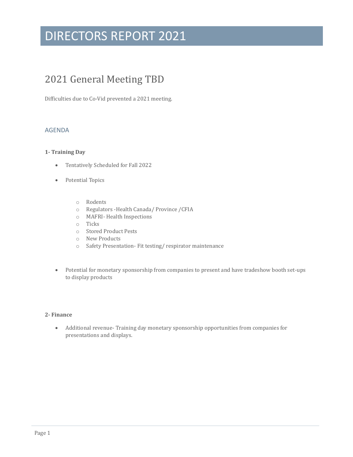### <span id="page-4-0"></span>2021 General Meeting TBD

Difficulties due to Co-Vid prevented a 2021 meeting.

#### <span id="page-4-1"></span>AGENDA

#### **1- Training Day**

- Tentatively Scheduled for Fall 2022
- Potential Topics
	- o Rodents
	- o Regulators -Health Canada/ Province /CFIA
	- o MAFRI- Health Inspections
	- o Ticks
	- o Stored Product Pests
	- o New Products
	- o Safety Presentation- Fit testing/ respirator maintenance
- Potential for monetary sponsorship from companies to present and have tradeshow booth set-ups to display products

#### **2- Finance**

• Additional revenue- Training day monetary sponsorship opportunities from companies for presentations and displays.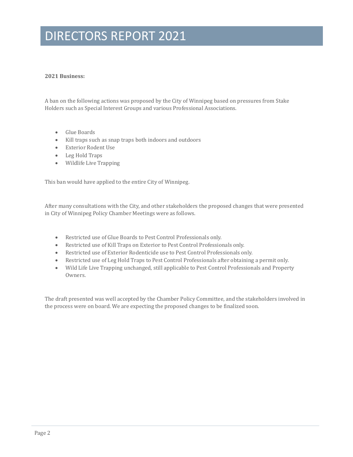#### **2021 Business:**

A ban on the following actions was proposed by the City of Winnipeg based on pressures from Stake Holders such as Special Interest Groups and various Professional Associations.

- Glue Boards
- Kill traps such as snap traps both indoors and outdoors
- Exterior Rodent Use
- Leg Hold Traps
- Wildlife Live Trapping

This ban would have applied to the entire City of Winnipeg.

After many consultations with the City, and other stakeholders the proposed changes that were presented in City of Winnipeg Policy Chamber Meetings were as follows.

- Restricted use of Glue Boards to Pest Control Professionals only.
- Restricted use of Kill Traps on Exterior to Pest Control Professionals only.
- Restricted use of Exterior Rodenticide use to Pest Control Professionals only.
- Restricted use of Leg Hold Traps to Pest Control Professionals after obtaining a permit only.
- Wild Life Live Trapping unchanged, still applicable to Pest Control Professionals and Property Owners.

The draft presented was well accepted by the Chamber Policy Committee, and the stakeholders involved in the process were on board. We are expecting the proposed changes to be finalized soon.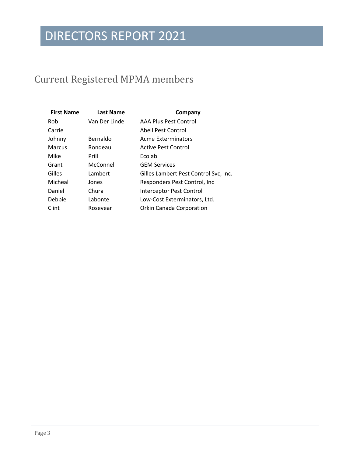# <span id="page-6-0"></span>Current Registered MPMA members

| <b>First Name</b> | <b>Last Name</b> | Company                               |
|-------------------|------------------|---------------------------------------|
| Rob               | Van Der Linde    | AAA Plus Pest Control                 |
| Carrie            |                  | Abell Pest Control                    |
| Johnny            | Bernaldo         | <b>Acme Exterminators</b>             |
| Marcus            | Rondeau          | <b>Active Pest Control</b>            |
| Mike              | Prill            | Ecolab                                |
| Grant             | McConnell        | <b>GEM Services</b>                   |
| Gilles            | Lambert          | Gilles Lambert Pest Control Svc, Inc. |
| Micheal           | Jones            | Responders Pest Control, Inc.         |
| Daniel            | Chura            | Interceptor Pest Control              |
| Debbie            | Labonte          | Low-Cost Exterminators, Ltd.          |
| Clint             | Rosevear         | <b>Orkin Canada Corporation</b>       |
|                   |                  |                                       |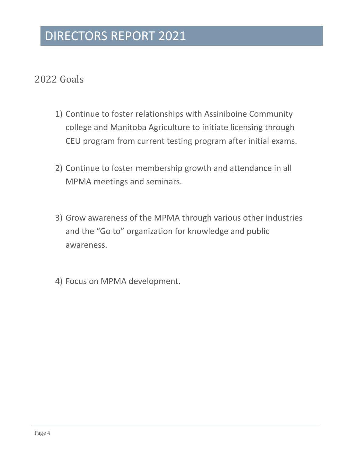### <span id="page-7-0"></span>2022 Goals

- 1) Continue to foster relationships with Assiniboine Community college and Manitoba Agriculture to initiate licensing through CEU program from current testing program after initial exams.
- 2) Continue to foster membership growth and attendance in all MPMA meetings and seminars.
- 3) Grow awareness of the MPMA through various other industries and the "Go to" organization for knowledge and public awareness.
- 4) Focus on MPMA development.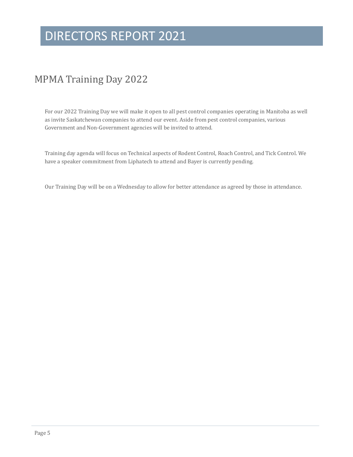### <span id="page-8-0"></span>MPMA Training Day 2022

For our 2022 Training Day we will make it open to all pest control companies operating in Manitoba as well as invite Saskatchewan companies to attend our event. Aside from pest control companies, various Government and Non-Government agencies will be invited to attend.

Training day agenda will focus on Technical aspects of Rodent Control, Roach Control, and Tick Control. We have a speaker commitment from Liphatech to attend and Bayer is currently pending.

Our Training Day will be on a Wednesday to allow for better attendance as agreed by those in attendance.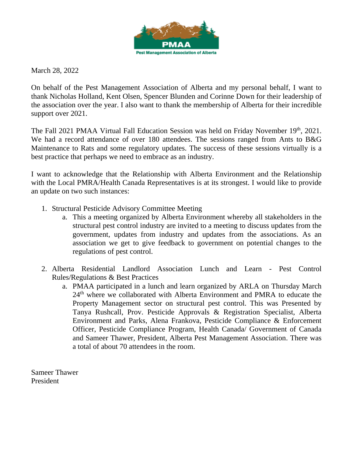

March 28, 2022

On behalf of the Pest Management Association of Alberta and my personal behalf, I want to thank Nicholas Holland, Kent Olsen, Spencer Blunden and Corinne Down for their leadership of the association over the year. I also want to thank the membership of Alberta for their incredible support over 2021.

The Fall 2021 PMAA Virtual Fall Education Session was held on Friday November 19th, 2021. We had a record attendance of over 180 attendees. The sessions ranged from Ants to B&G Maintenance to Rats and some regulatory updates. The success of these sessions virtually is a best practice that perhaps we need to embrace as an industry.

I want to acknowledge that the Relationship with Alberta Environment and the Relationship with the Local PMRA/Health Canada Representatives is at its strongest. I would like to provide an update on two such instances:

- 1. Structural Pesticide Advisory Committee Meeting
	- a. This a meeting organized by Alberta Environment whereby all stakeholders in the structural pest control industry are invited to a meeting to discuss updates from the government, updates from industry and updates from the associations. As an association we get to give feedback to government on potential changes to the regulations of pest control.
- 2. Alberta Residential Landlord Association Lunch and Learn Pest Control Rules/Regulations & Best Practices
	- a. PMAA participated in a lunch and learn organized by ARLA on Thursday March 24<sup>th</sup> where we collaborated with Alberta Environment and PMRA to educate the Property Management sector on structural pest control. This was Presented by Tanya Rushcall, Prov. Pesticide Approvals & Registration Specialist, Alberta Environment and Parks, Alena Frankova, Pesticide Compliance & Enforcement Officer, Pesticide Compliance Program, Health Canada/ Government of Canada and Sameer Thawer, President, Alberta Pest Management Association. There was a total of about 70 attendees in the room.

Sameer Thawer President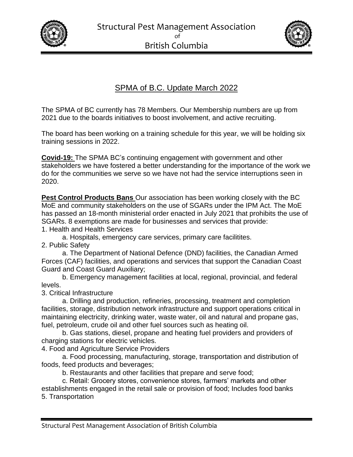



#### SPMA of B.C. Update March 2022

The SPMA of BC currently has 78 Members. Our Membership numbers are up from 2021 due to the boards initiatives to boost involvement, and active recruiting.

The board has been working on a training schedule for this year, we will be holding six training sessions in 2022.

**Covid-19:** The SPMA BC's continuing engagement with government and other stakeholders we have fostered a better understanding for the importance of the work we do for the communities we serve so we have not had the service interruptions seen in 2020.

**Pest Control Products Bans** Our association has been working closely with the BC MoE and community stakeholders on the use of SGARs under the IPM Act. The MoE has passed an 18-month ministerial order enacted in July 2021 that prohibits the use of SGARs. 8 exemptions are made for businesses and services that provide: 1. Health and Health Services

a. Hospitals, emergency care services, primary care facilitites.

2. Public Safety

a. The Department of National Defence (DND) facilities, the Canadian Armed Forces (CAF) facilities, and operations and services that support the Canadian Coast Guard and Coast Guard Auxiliary;

b. Emergency management facilities at local, regional, provincial, and federal levels.

3. Critical Infrastructure

a. Drilling and production, refineries, processing, treatment and completion facilities, storage, distribution network infrastructure and support operations critical in maintaining electricity, drinking water, waste water, oil and natural and propane gas, fuel, petroleum, crude oil and other fuel sources such as heating oil.

b. Gas stations, diesel, propane and heating fuel providers and providers of charging stations for electric vehicles.

4. Food and Agriculture Service Providers

a. Food processing, manufacturing, storage, transportation and distribution of foods, feed products and beverages;

b. Restaurants and other facilities that prepare and serve food;

c. Retail: Grocery stores, convenience stores, farmers' markets and other establishments engaged in the retail sale or provision of food; Includes food banks 5. Transportation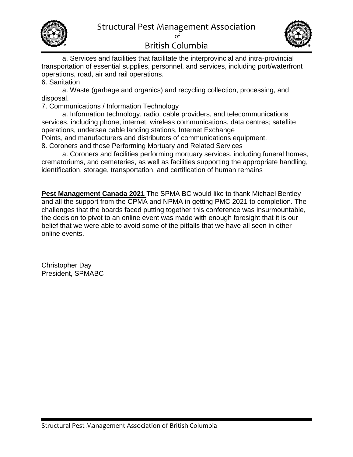



a. Services and facilities that facilitate the interprovincial and intra-provincial transportation of essential supplies, personnel, and services, including port/waterfront operations, road, air and rail operations.

6. Sanitation

a. Waste (garbage and organics) and recycling collection, processing, and disposal.

7. Communications / Information Technology

a. Information technology, radio, cable providers, and telecommunications services, including phone, internet, wireless communications, data centres; satellite operations, undersea cable landing stations, Internet Exchange Points, and manufacturers and distributors of communications equipment.

8. Coroners and those Performing Mortuary and Related Services

a. Coroners and facilities performing mortuary services, including funeral homes, crematoriums, and cemeteries, as well as facilities supporting the appropriate handling, identification, storage, transportation, and certification of human remains

**Pest Management Canada 2021** The SPMA BC would like to thank Michael Bentley and all the support from the CPMA and NPMA in getting PMC 2021 to completion. The challenges that the boards faced putting together this conference was insurmountable, the decision to pivot to an online event was made with enough foresight that it is our belief that we were able to avoid some of the pitfalls that we have all seen in other online events.

Christopher Day President, SPMABC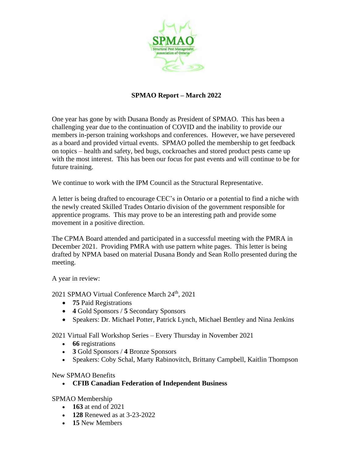

#### **SPMAO Report – March 2022**

One year has gone by with Dusana Bondy as President of SPMAO. This has been a challenging year due to the continuation of COVID and the inability to provide our members in-person training workshops and conferences. However, we have persevered as a board and provided virtual events. SPMAO polled the membership to get feedback on topics – health and safety, bed bugs, cockroaches and stored product pests came up with the most interest. This has been our focus for past events and will continue to be for future training.

We continue to work with the IPM Council as the Structural Representative.

A letter is being drafted to encourage CEC's in Ontario or a potential to find a niche with the newly created Skilled Trades Ontario division of the government responsible for apprentice programs. This may prove to be an interesting path and provide some movement in a positive direction.

The CPMA Board attended and participated in a successful meeting with the PMRA in December 2021. Providing PMRA with use pattern white pages. This letter is being drafted by NPMA based on material Dusana Bondy and Sean Rollo presented during the meeting.

A year in review:

2021 SPMAO Virtual Conference March 24<sup>th</sup>, 2021

- **75** Paid Registrations
- **4** Gold Sponsors / **5** Secondary Sponsors
- Speakers: Dr. Michael Potter, Patrick Lynch, Michael Bentley and Nina Jenkins

2021 Virtual Fall Workshop Series – Every Thursday in November 2021

- **66** registrations
- **3** Gold Sponsors / **4** Bronze Sponsors
- Speakers: Coby Schal, Marty Rabinovitch, Brittany Campbell, Kaitlin Thompson

#### New SPMAO Benefits

• **CFIB Canadian Federation of Independent Business**

SPMAO Membership

- **163** at end of 2021
- **128** Renewed as at 3-23-2022
- **15** New Members